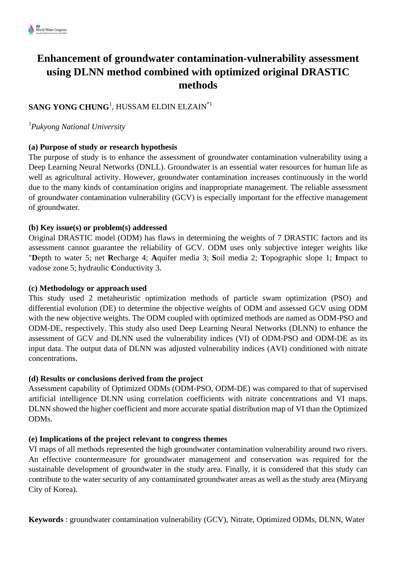# **Enhancement of groundwater contamination-vulnerability assessment using DLNN method combined with optimized original DRASTIC methods**

# $\mathbf S$ ANG YONG CHUNG<sup>1</sup>, HUSSAM ELDIN ELZAIN $^{\ast1}$

*1 Pukyong National University*

# **(a) Purpose of study or research hypothesis**

The purpose of study is to enhance the assessment of groundwater contamination vulnerability using a Deep Learning Neural Networks (DNLL). Groundwater is an essential water resources for human life as well as agricultural activity. However, groundwater contamination increases continuously in the world due to the many kinds of contamination origins and inappropriate management. The reliable assessment of groundwater contamination vulnerability (GCV) is especially important for the effective management of groundwater.

#### **(b) Key issue(s) or problem(s) addressed**

Original DRASTIC model (ODM) has flaws in determining the weights of 7 DRASTIC factors and its assessment cannot guarantee the reliability of GCV. ODM uses only subjective integer weights like "**D**epth to water 5; net **R**echarge 4; **A**quifer media 3; **S**oil media 2; **T**opographic slope 1; **I**mpact to vadose zone 5; hydraulic **C**onductivity 3.

#### **(c) Methodology or approach used**

This study used 2 metaheuristic optimization methods of particle swam optimization (PSO) and differential evolution (DE) to determine the objective weights of ODM and assessed GCV using ODM with the new objective weights. The ODM coupled with optimized methods are named as ODM-PSO and ODM-DE, respectively. This study also used Deep Learning Neural Networks (DLNN) to enhance the assessment of GCV and DLNN used the vulnerability indices (VI) of ODM-PSO and ODM-DE as its input data. The output data of DLNN was adjusted vulnerability indices (AVI) conditioned with nitrate concentrations.

# **(d) Results or conclusions derived from the project**

Assessment capability of Optimized ODMs (ODM-PSO, ODM-DE) was compared to that of supervised artificial intelligence DLNN using correlation coefficients with nitrate concentrations and VI maps. DLNN showed the higher coefficient and more accurate spatial distribution map of VI than the Optimized ODMs.

# **(e) Implications of the project relevant to congress themes**

VI maps of all methods represented the high groundwater contamination vulnerability around two rivers. An effective countermeasure for groundwater management and conservation was required for the sustainable development of groundwater in the study area. Finally, it is considered that this study can contribute to the water security of any contaminated groundwater areas as well as the study area (Miryang City of Korea).

**Keywords** : groundwater contamination vulnerability (GCV), Nitrate, Optimized ODMs, DLNN, Water